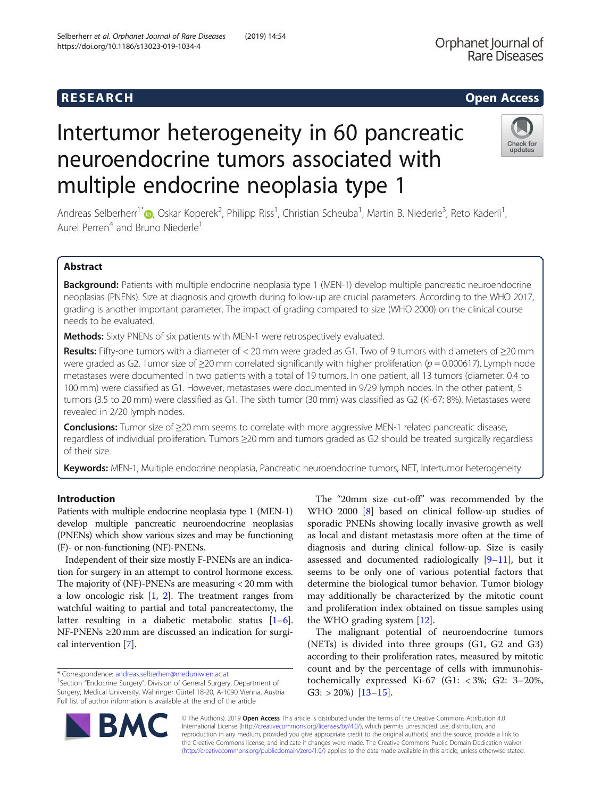## **RESEARCH CHEAR CHEAR CHEAR CHEAR CHEAR CHEAR CHEAR CHEAR CHEAR CHEAR CHEAR CHEAR CHEAR CHEAR CHEAR CHEAR CHEAR**

# Intertumor heterogeneity in 60 pancreatic neuroendocrine tumors associated with multiple endocrine neoplasia type 1

Andreas Selberherr<sup>1\*</sup> (**b**[,](http://orcid.org/0000-0002-6545-7023) Oskar Koperek<sup>2</sup>, Philipp Riss<sup>1</sup>, Christian Scheuba<sup>1</sup>, Martin B. Niederle<sup>3</sup>, Reto Kaderli<sup>1</sup> , Aurel Perren<sup>4</sup> and Bruno Niederle<sup>1</sup>

## Abstract

Background: Patients with multiple endocrine neoplasia type 1 (MEN-1) develop multiple pancreatic neuroendocrine neoplasias (PNENs). Size at diagnosis and growth during follow-up are crucial parameters. According to the WHO 2017, grading is another important parameter. The impact of grading compared to size (WHO 2000) on the clinical course needs to be evaluated.

**Methods:** Sixty PNENs of six patients with MEN-1 were retrospectively evaluated.

Results: Fifty-one tumors with a diameter of < 20 mm were graded as G1. Two of 9 tumors with diameters of  $\geq$ 20 mm were graded as G2. Tumor size of  $\geq$ 20 mm correlated significantly with higher proliferation ( $p = 0.000617$ ). Lymph node metastases were documented in two patients with a total of 19 tumors. In one patient, all 13 tumors (diameter: 0.4 to 100 mm) were classified as G1. However, metastases were documented in 9/29 lymph nodes. In the other patient, 5 tumors (3.5 to 20 mm) were classified as G1. The sixth tumor (30 mm) was classified as G2 (Ki-67: 8%). Metastases were revealed in 2/20 lymph nodes.

Conclusions: Tumor size of ≥20 mm seems to correlate with more aggressive MEN-1 related pancreatic disease, regardless of individual proliferation. Tumors ≥20 mm and tumors graded as G2 should be treated surgically regardless of their size.

Keywords: MEN-1, Multiple endocrine neoplasia, Pancreatic neuroendocrine tumors, NET, Intertumor heterogeneity

## Introduction

Patients with multiple endocrine neoplasia type 1 (MEN-1) develop multiple pancreatic neuroendocrine neoplasias (PNENs) which show various sizes and may be functioning (F)- or non-functioning (NF)-PNENs.

Independent of their size mostly F-PNENs are an indication for surgery in an attempt to control hormone excess. The majority of (NF)-PNENs are measuring < 20 mm with a low oncologic risk [\[1,](#page-6-0) [2](#page-6-0)]. The treatment ranges from watchful waiting to partial and total pancreatectomy, the latter resulting in a diabetic metabolic status [[1](#page-6-0)–[6](#page-7-0)]. NF-PNENs ≥20 mm are discussed an indication for surgical intervention [\[7\]](#page-7-0).

\* Correspondence: [andreas.selberherr@meduniwien.ac.at](mailto:andreas.selberherr@meduniwien.ac.at) <sup>1</sup>

© The Author(s). 2019 Open Access This article is distributed under the terms of the Creative Commons Attribution 4.0

International License [\(http://creativecommons.org/licenses/by/4.0/](http://creativecommons.org/licenses/by/4.0/)), which permits unrestricted use, distribution, and reproduction in any medium, provided you give appropriate credit to the original author(s) and the source, provide a link to the Creative Commons license, and indicate if changes were made. The Creative Commons Public Domain Dedication waiver [\(http://creativecommons.org/publicdomain/zero/1.0/](http://creativecommons.org/publicdomain/zero/1.0/)) applies to the data made available in this article, unless otherwise stated.

The "20mm size cut-off" was recommended by the WHO 2000 [[8\]](#page-7-0) based on clinical follow-up studies of sporadic PNENs showing locally invasive growth as well as local and distant metastasis more often at the time of diagnosis and during clinical follow-up. Size is easily assessed and documented radiologically  $[9-11]$  $[9-11]$  $[9-11]$  $[9-11]$  $[9-11]$ , but it seems to be only one of various potential factors that determine the biological tumor behavior. Tumor biology may additionally be characterized by the mitotic count and proliferation index obtained on tissue samples using the WHO grading system [\[12\]](#page-7-0).

The malignant potential of neuroendocrine tumors (NETs) is divided into three groups (G1, G2 and G3) according to their proliferation rates, measured by mitotic count and by the percentage of cells with immunohistochemically expressed Ki-67 (G1: < 3%; G2: 3–20%, G3:  $>$  20%) [[13](#page-7-0)-[15\]](#page-7-0).





undates

<sup>&</sup>lt;sup>1</sup>Section "Endocrine Surgery", Division of General Surgery, Department of Surgery, Medical University, Währinger Gürtel 18-20, A-1090 Vienna, Austria Full list of author information is available at the end of the article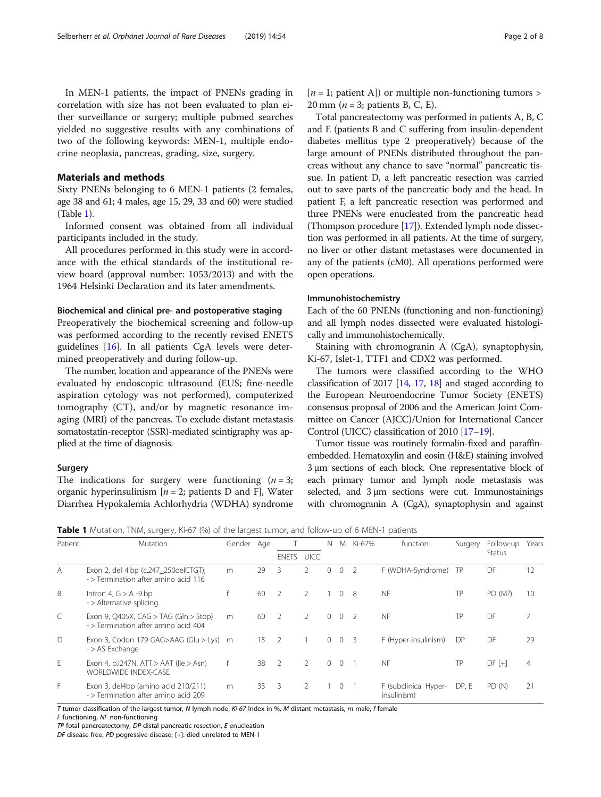In MEN-1 patients, the impact of PNENs grading in correlation with size has not been evaluated to plan either surveillance or surgery; multiple pubmed searches yielded no suggestive results with any combinations of two of the following keywords: MEN-1, multiple endocrine neoplasia, pancreas, grading, size, surgery.

## Materials and methods

Sixty PNENs belonging to 6 MEN-1 patients (2 females, age 38 and 61; 4 males, age 15, 29, 33 and 60) were studied (Table 1).

Informed consent was obtained from all individual participants included in the study.

All procedures performed in this study were in accordance with the ethical standards of the institutional review board (approval number: 1053/2013) and with the 1964 Helsinki Declaration and its later amendments.

#### Biochemical and clinical pre- and postoperative staging

Preoperatively the biochemical screening and follow-up was performed according to the recently revised ENETS guidelines [[16\]](#page-7-0). In all patients CgA levels were determined preoperatively and during follow-up.

The number, location and appearance of the PNENs were evaluated by endoscopic ultrasound (EUS; fine-needle aspiration cytology was not performed), computerized tomography (CT), and/or by magnetic resonance imaging (MRI) of the pancreas. To exclude distant metastasis somatostatin-receptor (SSR)-mediated scintigraphy was applied at the time of diagnosis.

### Surgery

The indications for surgery were functioning  $(n = 3)$ ; organic hyperinsulinism  $[n = 2;$  patients D and F, Water Diarrhea Hypokalemia Achlorhydria (WDHA) syndrome

 $[n = 1;$  patient A]) or multiple non-functioning tumors > 20 mm ( $n = 3$ ; patients B, C, E).

Total pancreatectomy was performed in patients A, B, C and E (patients B and C suffering from insulin-dependent diabetes mellitus type 2 preoperatively) because of the large amount of PNENs distributed throughout the pancreas without any chance to save "normal" pancreatic tissue. In patient D, a left pancreatic resection was carried out to save parts of the pancreatic body and the head. In patient F, a left pancreatic resection was performed and three PNENs were enucleated from the pancreatic head (Thompson procedure [[17](#page-7-0)]). Extended lymph node dissection was performed in all patients. At the time of surgery, no liver or other distant metastases were documented in any of the patients (cM0). All operations performed were open operations.

#### Immunohistochemistry

Each of the 60 PNENs (functioning and non-functioning) and all lymph nodes dissected were evaluated histologically and immunohistochemically.

Staining with chromogranin A (CgA), synaptophysin, Ki-67, Islet-1, TTF1 and CDX2 was performed.

The tumors were classified according to the WHO classification of 2017 [[14](#page-7-0), [17](#page-7-0), [18](#page-7-0)] and staged according to the European Neuroendocrine Tumor Society (ENETS) consensus proposal of 2006 and the American Joint Committee on Cancer (AJCC)/Union for International Cancer Control (UICC) classification of 2010 [[17](#page-7-0)–[19\]](#page-7-0).

Tumor tissue was routinely formalin-fixed and paraffinembedded. Hematoxylin and eosin (H&E) staining involved 3 μm sections of each block. One representative block of each primary tumor and lymph node metastasis was selected, and 3 μm sections were cut. Immunostainings with chromogranin A (CgA), synaptophysin and against

|  |  |  | <b>Table 1</b> Mutation, TNM, surgery, Ki-67 (%) of the largest tumor, and follow-up of 6 MEN-1 patients |  |  |
|--|--|--|----------------------------------------------------------------------------------------------------------|--|--|
|--|--|--|----------------------------------------------------------------------------------------------------------|--|--|

| Patient        | <b>Mutation</b>                                                               | Gender Age |    |                          |               | N            | M              | Ki-67% | function                             | Surgery | Follow-up     | Years          |
|----------------|-------------------------------------------------------------------------------|------------|----|--------------------------|---------------|--------------|----------------|--------|--------------------------------------|---------|---------------|----------------|
|                |                                                                               |            |    |                          | ENETS UICC    |              |                |        |                                      |         | <b>Status</b> |                |
| $\overline{A}$ | Exon 2, del 4 bp (c.247_250delCTGT);<br>- > Termination after amino acid 116  | m          | 29 | 3                        | 2             | $\mathbf{0}$ | $\overline{0}$ |        | F (WDHA-Syndrome)                    | TP      | DF            | 12             |
| B              | Intron 4, $G > A - 9$ bp<br>- > Alternative splicing                          |            | 60 | $\overline{2}$           | $\mathcal{P}$ |              | $\Omega$       | -8     | <b>NF</b>                            | TP      | PD (M?)       | 10             |
| $\subset$      | Exon 9, Q405X, CAG > TAG (Gln > Stop)<br>- > Termination after amino acid 404 | m          | 60 | $\overline{z}$           | $\mathcal{P}$ | $\Omega$     | $\Omega$       |        | <b>NF</b>                            | ТP      | DF            |                |
| $\bigcap$      | Exon 3, Codon 179 GAG>AAG (Glu > Lys) m<br>- > AS Exchange                    |            | 15 | $\overline{2}$           |               | $\Omega$     | $\overline{0}$ | 3      | F (Hyper-insulinism)                 | DP      | DF            | 29             |
| E              | Exon 4, p.1247N, $ATT > AAT$ (Ile $> Asn$ )<br><b>WORLDWIDE INDEX-CASE</b>    | f          | 38 | $\overline{2}$           | 2             | $\Omega$     | $\overline{0}$ |        | <b>NF</b>                            | ТP      | $DF [+]$      | $\overline{4}$ |
| F.             | Exon 3, del4bp (amino acid 210/211)<br>- > Termination after amino acid 209   | m          | 33 | $\overline{\phantom{a}}$ | 2             |              | $\overline{0}$ |        | F (subclinical Hyper-<br>insulinism) | DP, E   | PD (N)        | 21             |

T tumor classification of the largest tumor, N lymph node, Ki-67 Index in %, M distant metastasis, m male, f female

F functioning, NF non-functioning

TP fotal pancreatectomy, DP distal pancreatic resection, E enucleation

DF disease free, PD pogressive disease; [+]: died unrelated to MEN-1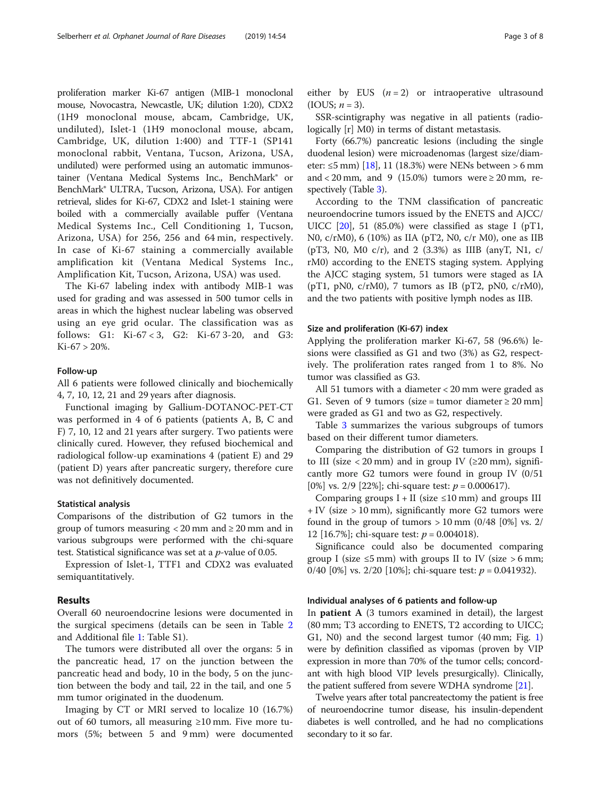proliferation marker Ki-67 antigen (MIB-1 monoclonal mouse, Novocastra, Newcastle, UK; dilution 1:20), CDX2 (1H9 monoclonal mouse, abcam, Cambridge, UK, undiluted), Islet-1 (1H9 monoclonal mouse, abcam, Cambridge, UK, dilution 1:400) and TTF-1 (SP141 monoclonal rabbit, Ventana, Tucson, Arizona, USA, undiluted) were performed using an automatic immunostainer (Ventana Medical Systems Inc., BenchMark® or BenchMark® ULTRA, Tucson, Arizona, USA). For antigen retrieval, slides for Ki-67, CDX2 and Islet-1 staining were boiled with a commercially available puffer (Ventana Medical Systems Inc., Cell Conditioning 1, Tucson, Arizona, USA) for 256, 256 and 64 min, respectively. In case of Ki-67 staining a commercially available amplification kit (Ventana Medical Systems Inc., Amplification Kit, Tucson, Arizona, USA) was used.

The Ki-67 labeling index with antibody MIB-1 was used for grading and was assessed in 500 tumor cells in areas in which the highest nuclear labeling was observed using an eye grid ocular. The classification was as follows: G1: Ki-67 < 3, G2: Ki-67 3-20, and G3: Ki-67 > 20%.

#### Follow-up

All 6 patients were followed clinically and biochemically 4, 7, 10, 12, 21 and 29 years after diagnosis.

Functional imaging by Gallium-DOTANOC-PET-CT was performed in 4 of 6 patients (patients A, B, C and F) 7, 10, 12 and 21 years after surgery. Two patients were clinically cured. However, they refused biochemical and radiological follow-up examinations 4 (patient E) and 29 (patient D) years after pancreatic surgery, therefore cure was not definitively documented.

#### Statistical analysis

Comparisons of the distribution of G2 tumors in the group of tumors measuring  $<$  20 mm and  $\ge$  20 mm and in various subgroups were performed with the chi-square test. Statistical significance was set at a  $p$ -value of 0.05.

Expression of Islet-1, TTF1 and CDX2 was evaluated semiquantitatively.

## Results

Overall 60 neuroendocrine lesions were documented in the surgical specimens (details can be seen in Table [2](#page-3-0) and Additional file [1:](#page-6-0) Table S1).

The tumors were distributed all over the organs: 5 in the pancreatic head, 17 on the junction between the pancreatic head and body, 10 in the body, 5 on the junction between the body and tail, 22 in the tail, and one 5 mm tumor originated in the duodenum.

Imaging by CT or MRI served to localize 10 (16.7%) out of 60 tumors, all measuring ≥10 mm. Five more tumors (5%; between 5 and 9 mm) were documented either by EUS  $(n = 2)$  or intraoperative ultrasound  $(IOUS; n = 3).$ 

SSR-scintigraphy was negative in all patients (radiologically [r] M0) in terms of distant metastasis.

Forty (66.7%) pancreatic lesions (including the single duodenal lesion) were microadenomas (largest size/diam-eter: ≤5 mm) [\[18\]](#page-7-0), 11 (18.3%) were NENs between > 6 mm and < 20 mm, and 9 (15.0%) tumors were  $\geq 20$  mm, respectively (Table [3](#page-4-0)).

According to the TNM classification of pancreatic neuroendocrine tumors issued by the ENETS and AJCC/ UICC  $[20]$  $[20]$ , 51 (85.0%) were classified as stage I (pT1, N0, c/rM0), 6 (10%) as IIA (pT2, N0, c/r M0), one as IIB ( $pT3$ , N0, M0 c/r), and 2 (3.3%) as IIIB (anyT, N1, c/ rM0) according to the ENETS staging system. Applying the AJCC staging system, 51 tumors were staged as IA  $(pT1, pN0, c/rM0)$ , 7 tumors as IB  $(pT2, pN0, c/rM0)$ , and the two patients with positive lymph nodes as IIB.

#### Size and proliferation (Ki-67) index

Applying the proliferation marker Ki-67, 58 (96.6%) lesions were classified as G1 and two (3%) as G2, respectively. The proliferation rates ranged from 1 to 8%. No tumor was classified as G3.

All 51 tumors with a diameter < 20 mm were graded as G1. Seven of 9 tumors (size = tumor diameter  $\geq 20$  mm] were graded as G1 and two as G2, respectively.

Table [3](#page-4-0) summarizes the various subgroups of tumors based on their different tumor diameters.

Comparing the distribution of G2 tumors in groups I to III (size  $\langle 20 \text{ mm} \rangle$  and in group IV ( $\geq 20 \text{ mm}$ ), significantly more G2 tumors were found in group IV (0/51 [0%] vs. 2/9 [22%]; chi-square test:  $p = 0.000617$ ).

Comparing groups  $I + II$  (size  $\leq 10$  mm) and groups III + IV (size > 10 mm), significantly more G2 tumors were found in the group of tumors  $> 10$  mm (0/48 [0%] vs. 2/ 12 [16.7%]; chi-square test:  $p = 0.004018$ ).

Significance could also be documented comparing group I (size  $\leq$ 5 mm) with groups II to IV (size > 6 mm; 0/40 [0%] vs. 2/20 [10%]; chi-square test:  $p = 0.041932$ ).

#### Individual analyses of 6 patients and follow-up

In patient A (3 tumors examined in detail), the largest (80 mm; T3 according to ENETS, T2 according to UICC; G1, N0) and the second largest tumor (40 mm; Fig. [1](#page-4-0)) were by definition classified as vipomas (proven by VIP expression in more than 70% of the tumor cells; concordant with high blood VIP levels presurgically). Clinically, the patient suffered from severe WDHA syndrome [[21](#page-7-0)].

Twelve years after total pancreatectomy the patient is free of neuroendocrine tumor disease, his insulin-dependent diabetes is well controlled, and he had no complications secondary to it so far.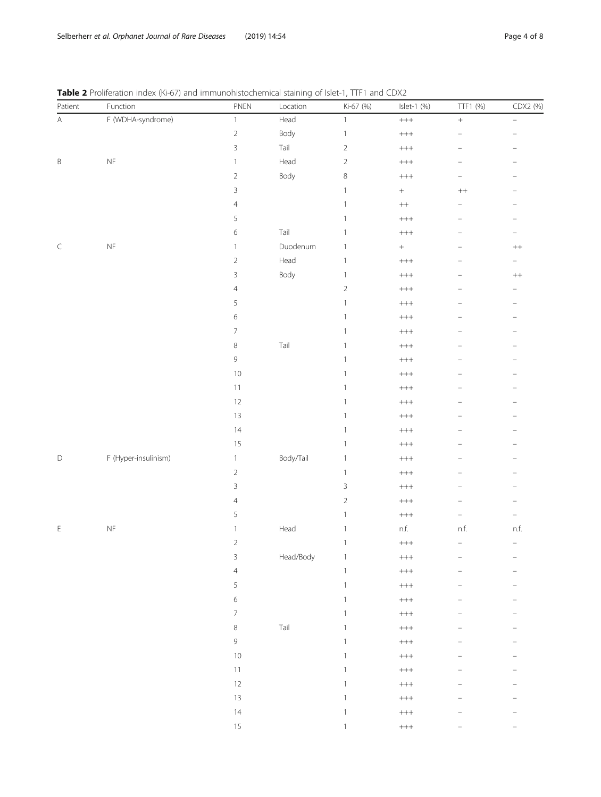<span id="page-3-0"></span>

|  | Table 2 Proliferation index (Ki-67) and immunohistochemical staining of Islet-1, TTF1 and CDX2 |  |  |
|--|------------------------------------------------------------------------------------------------|--|--|
|--|------------------------------------------------------------------------------------------------|--|--|

| Patient                                                                                                | Function                                                                                    | PNEN                     | ╯<br>Location | Ki-67 (%)                 | Islet-1 (%)                                                        | TTF1 (%)                 | CDX2 (%)                 |
|--------------------------------------------------------------------------------------------------------|---------------------------------------------------------------------------------------------|--------------------------|---------------|---------------------------|--------------------------------------------------------------------|--------------------------|--------------------------|
| $\mathsf{A}% _{\mathsf{A}}^{\prime}=\mathsf{A}_{\mathsf{A}}^{\prime}=\mathsf{A}_{\mathsf{A}}^{\prime}$ | F (WDHA-syndrome)                                                                           | $\mathbbm{1}$            | Head          | $\mathbf{1}$              | $\!$                                                               | $\qquad \qquad +$        | ÷                        |
|                                                                                                        |                                                                                             | $\sqrt{2}$               | Body          | $\,1$                     | $\color{red} +\color{red} +\color{red} +\color{red}$               | ÷                        | $\overline{\phantom{0}}$ |
|                                                                                                        |                                                                                             | $\mathsf 3$              | Tail          | $\sqrt{2}$                | $\color{red} +\color{red} +\color{red} +\color{red}$               | -                        | $\overline{\phantom{0}}$ |
| $\mathsf B$                                                                                            | $\mathsf{NF}% _{\mathsf{CL}}\times\mathsf{NF}_{\mathsf{CL}}\times\mathsf{NC}_{\mathsf{CL}}$ | $\,1\,$                  | Head          | $\sqrt{2}$                | $\color{red} +\color{red} +\color{red} +\color{red}$               |                          |                          |
|                                                                                                        |                                                                                             | $\sqrt{2}$               | Body          | 8                         | $\color{red} +\color{red} +\color{red} +\color{red}$               | $\overline{\phantom{0}}$ |                          |
|                                                                                                        |                                                                                             | $\mathsf 3$              |               | $\mathbf{1}$              | $\boldsymbol{+}$                                                   | $\boldsymbol{++}$        |                          |
|                                                                                                        |                                                                                             | $\overline{4}$           |               | $\,1$                     | $^{++}\,$                                                          |                          |                          |
|                                                                                                        |                                                                                             | 5                        |               | $\mathbf{1}$              | $\color{red} +\color{red} +\color{red} +\color{red}$               | $\overline{\phantom{0}}$ | $\overline{\phantom{0}}$ |
|                                                                                                        |                                                                                             | $\,$ 6 $\,$              | Tail          | $\mathbf{1}$              | $\color{red} +\color{red} +\color{red} +\color{red}$               | -                        | $\overline{\phantom{m}}$ |
| $\subset$                                                                                              | $\mathsf{NF}% _{\mathsf{CL}}\times\mathsf{NF}_{\mathsf{CL}}\times\mathsf{NC}_{\mathsf{CL}}$ | $\,1\,$                  | Duodenum      | $\mathbf{1}$              | $\boldsymbol{+}$                                                   |                          | $\boldsymbol{++}$        |
|                                                                                                        |                                                                                             | $\sqrt{2}$               | Head          | $\mathbf{1}$              | $^{+++}$                                                           |                          | -                        |
|                                                                                                        |                                                                                             | $\mathsf 3$              | Body          | $\mathbf{1}$              | $\!++\!$                                                           |                          | $\, + +$                 |
|                                                                                                        |                                                                                             | $\overline{4}$           |               | $\sqrt{2}$                | $\color{red} +\color{red} +\color{red} +\color{red}$               |                          |                          |
|                                                                                                        |                                                                                             | 5                        |               | $\mathbf{1}$              | $\color{red} +\color{red} +\color{red} +\color{red}$               | $\overline{a}$           | $\overline{\phantom{0}}$ |
|                                                                                                        |                                                                                             | $\,$ 6 $\,$              |               | $\mathbf{1}$              | $\color{red} +\color{red} +\color{red} +\color{red}$               | -                        | $\overline{\phantom{m}}$ |
|                                                                                                        |                                                                                             | $\overline{\mathcal{I}}$ |               | $\mathbf{1}$              | $\color{red} +\color{red} +\color{red} +\color{red}$               |                          |                          |
|                                                                                                        |                                                                                             | 8                        | Tail          | $\mathbf{1}$              | $\color{red} +\color{red} +\color{red} +\color{red}$               |                          |                          |
|                                                                                                        |                                                                                             | $\mathsf 9$              |               | $\mathbf{1}$              | $\!++\!$                                                           |                          |                          |
|                                                                                                        |                                                                                             | $10$                     |               | $\mathbf{1}$              | $++++ \label{eq:1}$                                                |                          |                          |
|                                                                                                        |                                                                                             | $11$                     |               | $\mathbf{1}$              | $\color{red} +\color{red} +\color{red} +\color{red}$               | $\overline{a}$           | $\qquad \qquad -$        |
|                                                                                                        |                                                                                             | $12\,$                   |               | $\mathbf{1}$              | $\color{red} + + +$                                                | -                        | $\overline{\phantom{0}}$ |
|                                                                                                        |                                                                                             | $13$                     |               | $\mathbf{1}$              | $\color{red} +\color{red} +\color{red} +\color{red}$               |                          |                          |
|                                                                                                        |                                                                                             | 14                       |               | $\mathbf{1}$              | $\color{red} +\color{red} +\color{red} +\color{red}$               |                          |                          |
|                                                                                                        |                                                                                             | 15                       |               | $\mathbf{1}$              | $\!++\!$                                                           |                          |                          |
| $\mathsf D$                                                                                            | F (Hyper-insulinism)                                                                        | $\mathbf{1}$             | Body/Tail     | $\mathbbm{1}$             | $\color{red} +\color{red} +\color{red} +\color{red}$               |                          |                          |
|                                                                                                        |                                                                                             | $\sqrt{2}$               |               | $\,1$                     | $\color{red} +\color{red} +\color{red} +\color{red}$               | $\overline{\phantom{0}}$ | $\qquad \qquad -$        |
|                                                                                                        |                                                                                             | $\mathsf 3$              |               | $\mathsf 3$               | $\color{red} + + +$                                                | -                        | $\overline{\phantom{0}}$ |
|                                                                                                        |                                                                                             | $\overline{4}$           |               | $\sqrt{2}$                | $\color{red} +\color{red} +\color{red} +\color{red}$               |                          |                          |
|                                                                                                        |                                                                                             | 5                        |               | $\mathbf{1}$              | $\color{red} +\color{red} +\color{red} +\color{red}$               | $\overline{\phantom{0}}$ | $\overline{\phantom{0}}$ |
| $\mathsf E$                                                                                            | $\mathsf{NF}$                                                                               | $\mathbf{1}$             | Head          | $\mathbf{1}$              | $\mathsf{n.f.}$                                                    | $\mathsf{n.f.}$          | $\mathsf{n.f.}$          |
|                                                                                                        |                                                                                             | $\sqrt{2}$               |               | $\,1$                     | $\color{red} +\color{red} +\color{red} +\color{red}$               | $\qquad \qquad -$        | ÷                        |
|                                                                                                        |                                                                                             | $\mathsf 3$              | Head/Body     | $\mathbf{1}$              | $^{+++}$                                                           |                          |                          |
|                                                                                                        |                                                                                             | $\overline{4}$           |               | $\ensuremath{\mathbb{1}}$ | $\!$                                                               |                          |                          |
|                                                                                                        |                                                                                             | 5                        |               | $\mathbf{1}$              | $\!++\!$                                                           |                          |                          |
|                                                                                                        |                                                                                             | $\epsilon$               |               | $\mathbf{1}$              | $\color{red} ++\color{red} +\color{red} +\color{red} +\color{red}$ |                          | $\overline{\phantom{0}}$ |
|                                                                                                        |                                                                                             | $\overline{\mathcal{I}}$ |               | $\mathbf{1}$              | $++++ \label{eq:1}$                                                |                          |                          |
|                                                                                                        |                                                                                             | $\,8\,$                  | Tail          | $\mathbf{1}$              | $++++ \label{eq:1}$                                                |                          |                          |
|                                                                                                        |                                                                                             | $\mathsf 9$              |               | $\mathbf{1}$              | $\color{red} +\color{red} +\color{red} +\color{red}$               |                          |                          |
|                                                                                                        |                                                                                             | $10$                     |               | $\mathbf{1}$              | $\color{red} +\color{red} +\color{red} +\color{red}$               |                          |                          |
|                                                                                                        |                                                                                             | $11\,$                   |               | $\mathbf{1}$              | $\!$                                                               |                          |                          |
|                                                                                                        |                                                                                             | $12\,$                   |               | $\mathbf{1}$              | $\color{red} ++ +$                                                 |                          | $\overline{\phantom{0}}$ |
|                                                                                                        |                                                                                             | $13\,$                   |               | $\mathbf{1}$              | $\!++\!$                                                           |                          |                          |
|                                                                                                        |                                                                                             | 14                       |               | $\mathbf{1}$              | $\!++\!$                                                           |                          |                          |
|                                                                                                        |                                                                                             | $15\,$                   |               | $\mathbf{1}$              | $\!++\!+$                                                          |                          | $\qquad \qquad -$        |
|                                                                                                        |                                                                                             |                          |               |                           |                                                                    |                          |                          |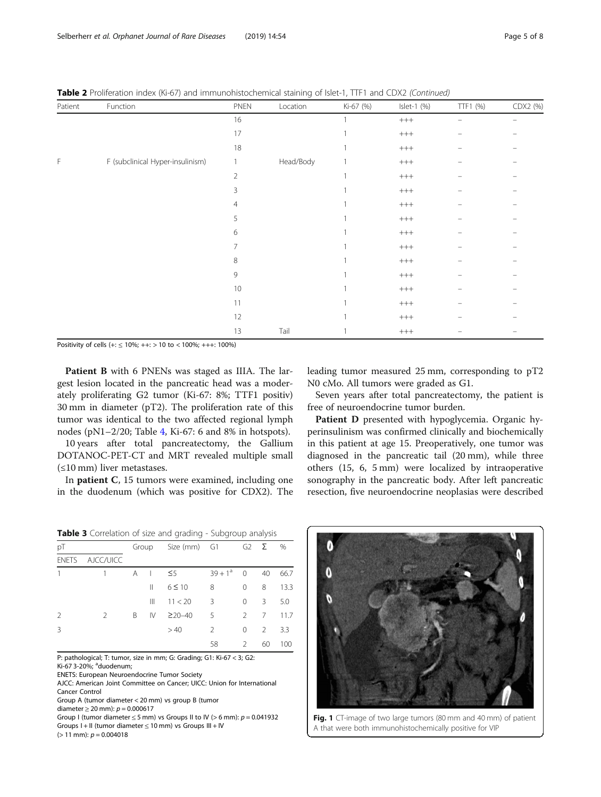<span id="page-4-0"></span>Table 2 Proliferation index (Ki-67) and immunohistochemical staining of Islet-1, TTF1 and CDX2 (Continued)

| Patient | Function                         | PNEN           | Location  | Ki-67 (%) | Islet-1 (%) | TTF1 (%) | CDX2 (%)                 |
|---------|----------------------------------|----------------|-----------|-----------|-------------|----------|--------------------------|
|         |                                  | 16             |           |           | $^{+++}$    |          | $\overline{\phantom{0}}$ |
|         |                                  | 17             |           |           | $^{+++}$    |          |                          |
|         |                                  | 18             |           |           | $^{+++}$    |          |                          |
| F       | F (subclinical Hyper-insulinism) | $\mathbf{1}$   | Head/Body |           | $^{+++}$    |          |                          |
|         |                                  | $\overline{2}$ |           |           | $^{+++}$    |          |                          |
|         |                                  | 3              |           |           | $^{+++}$    |          |                          |
|         |                                  | 4              |           |           | $^{+++}$    |          |                          |
|         |                                  | 5              |           |           | $^{+++}$    |          |                          |
|         |                                  | 6              |           |           | $^{+++}$    |          |                          |
|         |                                  | 7              |           |           | $^{+++}$    |          |                          |
|         |                                  | 8              |           |           | $^{+++}$    |          |                          |
|         |                                  | 9              |           |           | $^{+++}$    |          |                          |
|         |                                  | 10             |           |           | $^{+++}$    |          |                          |
|         |                                  | 11             |           |           | $^{+++}$    |          |                          |
|         |                                  | 12             |           |           | $^{+++}$    |          |                          |
|         |                                  | 13             | Tail      |           | $^{+++}$    |          |                          |

Positivity of cells (+: ≤ 10%; ++: > 10 to < 100%; +++: 100%)

Patient B with 6 PNENs was staged as IIIA. The largest lesion located in the pancreatic head was a moderately proliferating G2 tumor (Ki-67: 8%; TTF1 positiv) 30 mm in diameter (pT2). The proliferation rate of this tumor was identical to the two affected regional lymph nodes (pN1–2/20; Table [4,](#page-5-0) Ki-67: 6 and 8% in hotspots).

10 years after total pancreatectomy, the Gallium DOTANOC-PET-CT and MRT revealed multiple small (≤10 mm) liver metastases.

In patient C, 15 tumors were examined, including one in the duodenum (which was positive for CDX2). The

leading tumor measured 25 mm, corresponding to pT2 N0 cMo. All tumors were graded as G1.

Seven years after total pancreatectomy, the patient is free of neuroendocrine tumor burden.

Patient D presented with hypoglycemia. Organic hyperinsulinism was confirmed clinically and biochemically in this patient at age 15. Preoperatively, one tumor was diagnosed in the pancreatic tail (20 mm), while three others (15, 6, 5 mm) were localized by intraoperative sonography in the pancreatic body. After left pancreatic resection, five neuroendocrine neoplasias were described

Table 3 Correlation of size and grading - Subgroup analysis

| рT           |               |   | Group          | Size (mm) G1 |               |                | G <sub>2</sub> $\Sigma$ % |      |
|--------------|---------------|---|----------------|--------------|---------------|----------------|---------------------------|------|
| <b>ENETS</b> | AJCC/UICC     |   |                |              |               |                |                           |      |
| 1            |               | A | $\blacksquare$ | $\leq$ 5     | $39+1^a$      | $\overline{0}$ | 40                        | 66.7 |
|              |               |   | Ш              | $6 \leq 10$  | 8             | $\Omega$       | 8                         | 13.3 |
|              |               |   | Ш              | 11 < 20      | 3             | 0              | 3                         | 5.0  |
| 2            | $\mathcal{L}$ | B | IV             | $\geq$ 20-40 | 5             | $\mathcal{P}$  | 7                         | 11.7 |
| 3            |               |   |                | >40          | $\mathcal{P}$ | $\Omega$       | $\mathcal{P}$             | 3.3  |
|              |               |   |                |              | 58            | $\mathcal{L}$  | 60                        | 100  |

P: pathological; T: tumor, size in mm; G: Grading; G1: Ki-67 < 3; G2: Ki-67 3-20%; <sup>a</sup>duodenum;

ENETS: European Neuroendocrine Tumor Society

AJCC: American Joint Committee on Cancer; UICC: Union for International Cancer Control

Group A (tumor diameter < 20 mm) vs group B (tumor

diameter ≥ 20 mm):  $p = 0.000617$ 

Group I (tumor diameter  $\leq$  5 mm) vs Groups II to IV (> 6 mm):  $p = 0.041932$ Groups I + II (tumor diameter ≤ 10 mm) vs Groups III + IV

 $(> 11$  mm):  $p = 0.004018$ 



Fig. 1 CT-image of two large tumors (80 mm and 40 mm) of patient A that were both immunohistochemically positive for VIP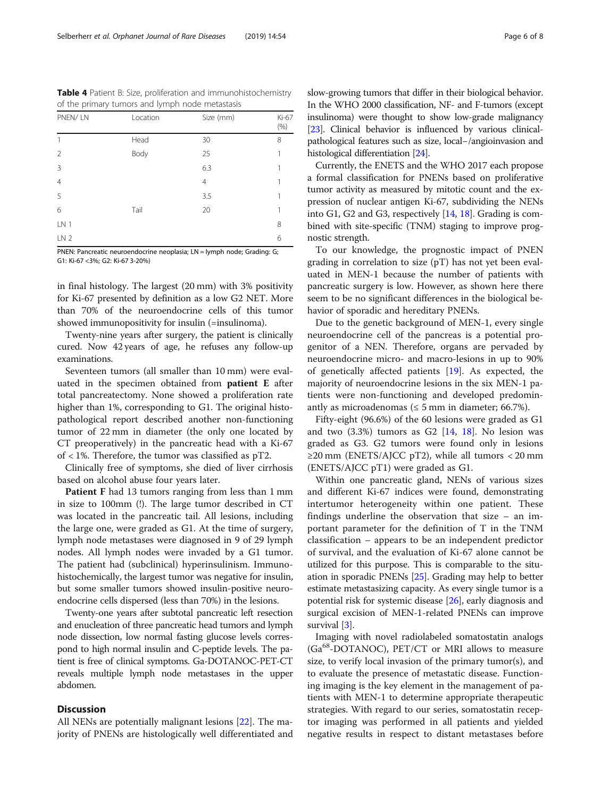<span id="page-5-0"></span>Table 4 Patient B: Size, proliferation and immunohistochemistry of the primary tumors and lymph node metastasis

| PNEN/LN         | Location | Size (mm) | Ki-67<br>(% ) |
|-----------------|----------|-----------|---------------|
|                 | Head     | 30        | 8             |
| $\overline{2}$  | Body     | 25        | 1             |
| $\overline{3}$  |          | 6.3       |               |
| $\overline{4}$  |          | 4         | 1             |
| 5               |          | 3.5       |               |
| 6               | Tail     | 20        | 1             |
| LN 1            |          |           | 8             |
| LN <sub>2</sub> |          |           | 6             |

PNEN: Pancreatic neuroendocrine neoplasia; LN = lymph node; Grading: G; G1: Ki-67 <3%; G2: Ki-67 3-20%)

in final histology. The largest (20 mm) with 3% positivity for Ki-67 presented by definition as a low G2 NET. More than 70% of the neuroendocrine cells of this tumor showed immunopositivity for insulin (=insulinoma).

Twenty-nine years after surgery, the patient is clinically cured. Now 42 years of age, he refuses any follow-up examinations.

Seventeen tumors (all smaller than 10 mm) were evaluated in the specimen obtained from patient E after total pancreatectomy. None showed a proliferation rate higher than 1%, corresponding to G1. The original histopathological report described another non-functioning tumor of 22 mm in diameter (the only one located by CT preoperatively) in the pancreatic head with a Ki-67 of < 1%. Therefore, the tumor was classified as pT2.

Clinically free of symptoms, she died of liver cirrhosis based on alcohol abuse four years later.

Patient F had 13 tumors ranging from less than 1 mm in size to 100mm (!). The large tumor described in CT was located in the pancreatic tail. All lesions, including the large one, were graded as G1. At the time of surgery, lymph node metastases were diagnosed in 9 of 29 lymph nodes. All lymph nodes were invaded by a G1 tumor. The patient had (subclinical) hyperinsulinism. Immunohistochemically, the largest tumor was negative for insulin, but some smaller tumors showed insulin-positive neuroendocrine cells dispersed (less than 70%) in the lesions.

Twenty-one years after subtotal pancreatic left resection and enucleation of three pancreatic head tumors and lymph node dissection, low normal fasting glucose levels correspond to high normal insulin and C-peptide levels. The patient is free of clinical symptoms. Ga-DOTANOC-PET-CT reveals multiple lymph node metastases in the upper abdomen.

## **Discussion**

All NENs are potentially malignant lesions [\[22](#page-7-0)]. The majority of PNENs are histologically well differentiated and slow-growing tumors that differ in their biological behavior. In the WHO 2000 classification, NF- and F-tumors (except insulinoma) were thought to show low-grade malignancy [[23](#page-7-0)]. Clinical behavior is influenced by various clinicalpathological features such as size, local−/angioinvasion and histological differentiation [\[24](#page-7-0)].

Currently, the ENETS and the WHO 2017 each propose a formal classification for PNENs based on proliferative tumor activity as measured by mitotic count and the expression of nuclear antigen Ki-67, subdividing the NENs into G1, G2 and G3, respectively [\[14](#page-7-0), [18](#page-7-0)]. Grading is combined with site-specific (TNM) staging to improve prognostic strength.

To our knowledge, the prognostic impact of PNEN grading in correlation to size (pT) has not yet been evaluated in MEN-1 because the number of patients with pancreatic surgery is low. However, as shown here there seem to be no significant differences in the biological behavior of sporadic and hereditary PNENs.

Due to the genetic background of MEN-1, every single neuroendocrine cell of the pancreas is a potential progenitor of a NEN. Therefore, organs are pervaded by neuroendocrine micro- and macro-lesions in up to 90% of genetically affected patients [[19\]](#page-7-0). As expected, the majority of neuroendocrine lesions in the six MEN-1 patients were non-functioning and developed predominantly as microadenomas ( $\leq$  5 mm in diameter; 66.7%).

Fifty-eight (96.6%) of the 60 lesions were graded as G1 and two  $(3.3%)$  tumors as G2  $[14, 18]$  $[14, 18]$  $[14, 18]$ . No lesion was graded as G3. G2 tumors were found only in lesions ≥20 mm (ENETS/AJCC pT2), while all tumors < 20 mm (ENETS/AJCC pT1) were graded as G1.

Within one pancreatic gland, NENs of various sizes and different Ki-67 indices were found, demonstrating intertumor heterogeneity within one patient. These findings underline the observation that size – an important parameter for the definition of T in the TNM classification – appears to be an independent predictor of survival, and the evaluation of Ki-67 alone cannot be utilized for this purpose. This is comparable to the situation in sporadic PNENs [[25](#page-7-0)]. Grading may help to better estimate metastasizing capacity. As every single tumor is a potential risk for systemic disease [[26\]](#page-7-0), early diagnosis and surgical excision of MEN-1-related PNENs can improve survival [\[3](#page-6-0)].

Imaging with novel radiolabeled somatostatin analogs  $(Ga<sup>68</sup>-DOTANOC)$ ,  $PET/CT$  or MRI allows to measure size, to verify local invasion of the primary tumor(s), and to evaluate the presence of metastatic disease. Functioning imaging is the key element in the management of patients with MEN-1 to determine appropriate therapeutic strategies. With regard to our series, somatostatin receptor imaging was performed in all patients and yielded negative results in respect to distant metastases before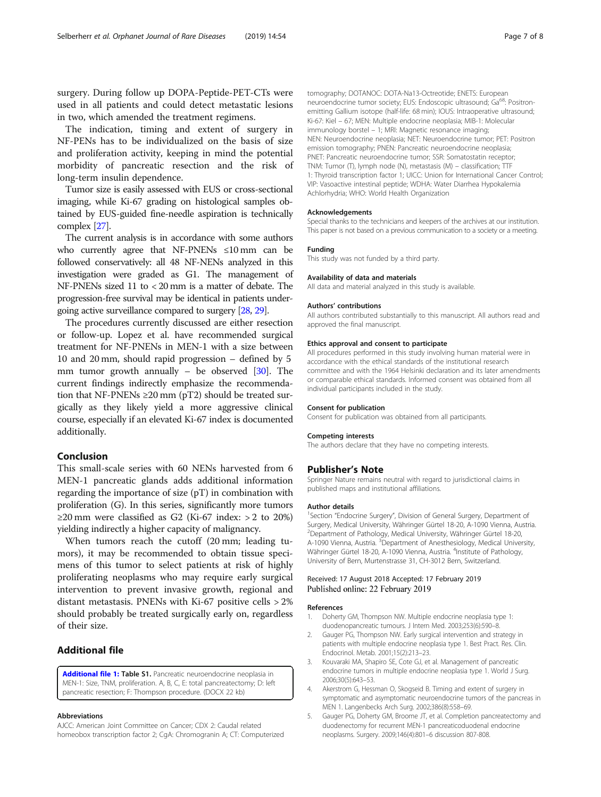<span id="page-6-0"></span>surgery. During follow up DOPA-Peptide-PET-CTs were used in all patients and could detect metastatic lesions in two, which amended the treatment regimens.

The indication, timing and extent of surgery in NF-PENs has to be individualized on the basis of size and proliferation activity, keeping in mind the potential morbidity of pancreatic resection and the risk of long-term insulin dependence.

Tumor size is easily assessed with EUS or cross-sectional imaging, while Ki-67 grading on histological samples obtained by EUS-guided fine-needle aspiration is technically complex [[27](#page-7-0)].

The current analysis is in accordance with some authors who currently agree that NF-PNENs ≤10 mm can be followed conservatively: all 48 NF-NENs analyzed in this investigation were graded as G1. The management of NF-PNENs sized 11 to < 20 mm is a matter of debate. The progression-free survival may be identical in patients undergoing active surveillance compared to surgery [[28,](#page-7-0) [29\]](#page-7-0).

The procedures currently discussed are either resection or follow-up. Lopez et al. have recommended surgical treatment for NF-PNENs in MEN-1 with a size between 10 and 20 mm, should rapid progression – defined by 5 mm tumor growth annually – be observed [\[30\]](#page-7-0). The current findings indirectly emphasize the recommendation that NF-PNENs  $\geq$ 20 mm (pT2) should be treated surgically as they likely yield a more aggressive clinical course, especially if an elevated Ki-67 index is documented additionally.

## Conclusion

This small-scale series with 60 NENs harvested from 6 MEN-1 pancreatic glands adds additional information regarding the importance of size  $(pT)$  in combination with proliferation (G). In this series, significantly more tumors ≥20 mm were classified as G2 (Ki-67 index: > 2 to 20%) yielding indirectly a higher capacity of malignancy.

When tumors reach the cutoff (20 mm; leading tumors), it may be recommended to obtain tissue specimens of this tumor to select patients at risk of highly proliferating neoplasms who may require early surgical intervention to prevent invasive growth, regional and distant metastasis. PNENs with Ki-67 positive cells > 2% should probably be treated surgically early on, regardless of their size.

## Additional file

[Additional file 1:](https://doi.org/10.1186/s13023-019-1034-4) Table S1. Pancreatic neuroendocrine neoplasia in MEN-1: Size, TNM, proliferation. A, B, C, E: total pancreatectomy; D: left pancreatic resection; F: Thompson procedure. (DOCX 22 kb)

#### Abbreviations

AJCC: American Joint Committee on Cancer; CDX 2: Caudal related homeobox transcription factor 2; CgA: Chromogranin A; CT: Computerized tomography; DOTANOC: DOTA-Na13-Octreotide; ENETS: European neuroendocrine tumor society; EUS: Endoscopic ultrasound; Ga<sup>68</sup>: Positronemitting Gallium isotope (half-life: 68 min); IOUS: Intraoperative ultrasound; Ki-67: Kiel – 67; MEN: Multiple endocrine neoplasia; MIB-1: Molecular immunology borstel – 1; MRI: Magnetic resonance imaging; NEN: Neuroendocrine neoplasia; NET: Neuroendocrine tumor; PET: Positron emission tomography; PNEN: Pancreatic neuroendocrine neoplasia; PNET: Pancreatic neuroendocrine tumor; SSR: Somatostatin receptor; TNM: Tumor (T), lymph node (N), metastasis (M) – classification; TTF 1: Thyroid transcription factor 1; UICC: Union for International Cancer Control; VIP: Vasoactive intestinal peptide; WDHA: Water Diarrhea Hypokalemia Achlorhydria; WHO: World Health Organization

#### Acknowledgements

Special thanks to the technicians and keepers of the archives at our institution. This paper is not based on a previous communication to a society or a meeting.

#### Funding

This study was not funded by a third party.

#### Availability of data and materials

All data and material analyzed in this study is available.

#### Authors' contributions

All authors contributed substantially to this manuscript. All authors read and approved the final manuscript.

#### Ethics approval and consent to participate

All procedures performed in this study involving human material were in accordance with the ethical standards of the institutional research committee and with the 1964 Helsinki declaration and its later amendments or comparable ethical standards. Informed consent was obtained from all individual participants included in the study.

#### Consent for publication

Consent for publication was obtained from all participants.

#### Competing interests

The authors declare that they have no competing interests.

#### Publisher's Note

Springer Nature remains neutral with regard to jurisdictional claims in published maps and institutional affiliations.

#### Author details

<sup>1</sup>Section "Endocrine Surgery", Division of General Surgery, Department of Surgery, Medical University, Währinger Gürtel 18-20, A-1090 Vienna, Austria. 2 Department of Pathology, Medical University, Währinger Gürtel 18-20, A-1090 Vienna, Austria. <sup>3</sup> Department of Anesthesiology, Medical University Währinger Gürtel 18-20, A-1090 Vienna, Austria. <sup>4</sup>Institute of Pathology, University of Bern, Murtenstrasse 31, CH-3012 Bern, Switzerland.

#### Received: 17 August 2018 Accepted: 17 February 2019 Published online: 22 February 2019

#### References

- 1. Doherty GM, Thompson NW. Multiple endocrine neoplasia type 1: duodenopancreatic tumours. J Intern Med. 2003;253(6):590–8.
- 2. Gauger PG, Thompson NW. Early surgical intervention and strategy in patients with multiple endocrine neoplasia type 1. Best Pract. Res. Clin. Endocrinol. Metab. 2001;15(2):213–23.
- 3. Kouvaraki MA, Shapiro SE, Cote GJ, et al. Management of pancreatic endocrine tumors in multiple endocrine neoplasia type 1. World J Surg. 2006;30(5):643–53.
- 4. Akerstrom G, Hessman O, Skogseid B. Timing and extent of surgery in symptomatic and asymptomatic neuroendocrine tumors of the pancreas in MEN 1. Langenbecks Arch Surg. 2002;386(8):558–69.
- 5. Gauger PG, Doherty GM, Broome JT, et al. Completion pancreatectomy and duodenectomy for recurrent MEN-1 pancreaticoduodenal endocrine neoplasms. Surgery. 2009;146(4):801–6 discussion 807-808.